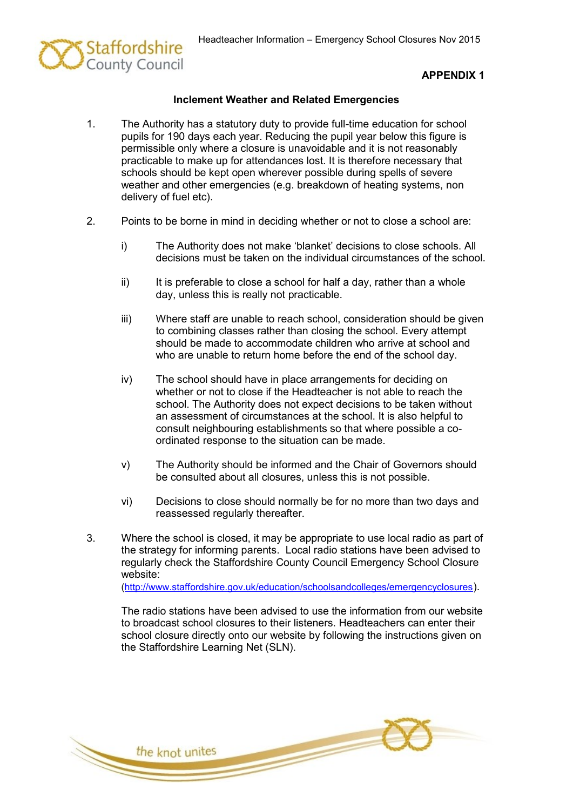

## **APPENDIX 1**

## **Inclement Weather and Related Emergencies**

- 1. The Authority has a statutory duty to provide full-time education for school pupils for 190 days each year. Reducing the pupil year below this figure is permissible only where a closure is unavoidable and it is not reasonably practicable to make up for attendances lost. It is therefore necessary that schools should be kept open wherever possible during spells of severe weather and other emergencies (e.g. breakdown of heating systems, non delivery of fuel etc).
- 2. Points to be borne in mind in deciding whether or not to close a school are:
	- i) The Authority does not make 'blanket' decisions to close schools. All decisions must be taken on the individual circumstances of the school.
	- $ii)$  It is preferable to close a school for half a day, rather than a whole day, unless this is really not practicable.
	- iii) Where staff are unable to reach school, consideration should be given to combining classes rather than closing the school. Every attempt should be made to accommodate children who arrive at school and who are unable to return home before the end of the school day.
	- iv) The school should have in place arrangements for deciding on whether or not to close if the Headteacher is not able to reach the school. The Authority does not expect decisions to be taken without an assessment of circumstances at the school. It is also helpful to consult neighbouring establishments so that where possible a coordinated response to the situation can be made.
	- v) The Authority should be informed and the Chair of Governors should be consulted about all closures, unless this is not possible.
	- vi) Decisions to close should normally be for no more than two days and reassessed regularly thereafter.
- 3. Where the school is closed, it may be appropriate to use local radio as part of the strategy for informing parents. Local radio stations have been advised to regularly check the Staffordshire County Council Emergency School Closure website: [\(http://www.staffordshire.gov.uk/education/schoolsandcolleges/emergencyclosures](http://www.staffordshire.gov.uk/education/schoolsandcolleges/emergencyclosures)).

The radio stations have been advised to use the information from our website to broadcast school closures to their listeners. Headteachers can enter their school closure directly onto our website by following the instructions given on the Staffordshire Learning Net (SLN).